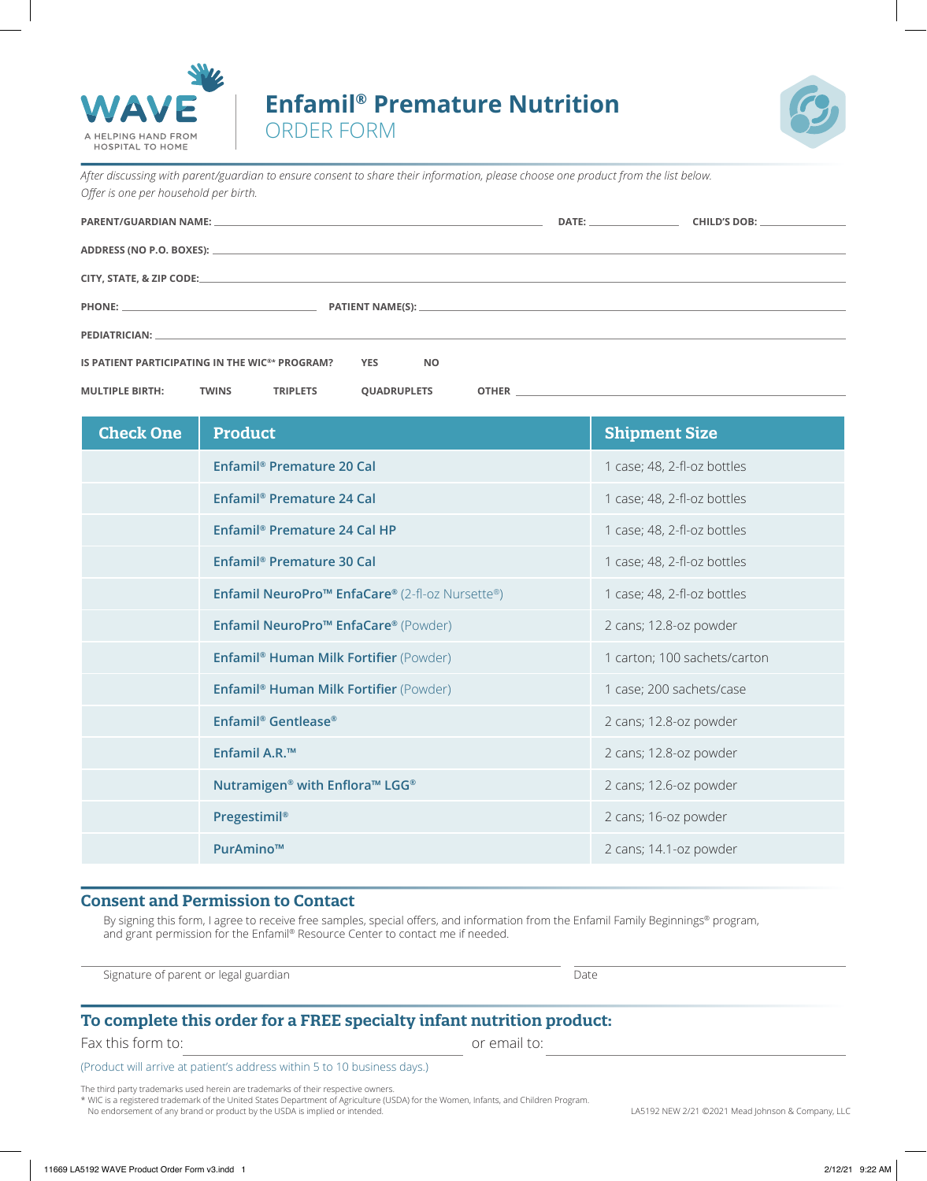

# **Enfamil® Premature Nutrition**



ORDER FORM

**MULTIPLE BIRTH: TWINS TRIPLETS QUADRUPLETS OTHER**

*After discussing with parent/guardian to ensure consent to share their information, please choose one product from the list below. Ofer is one per household per birth.*

|                                                                                         | DATE: _________________________ | CHILD'S DOB: University of the Second Second Second Second Second Second Second Second Second Second Second Second Second Second Second Second Second Second Second Second Second Second Second Second Second Second Second Se |
|-----------------------------------------------------------------------------------------|---------------------------------|--------------------------------------------------------------------------------------------------------------------------------------------------------------------------------------------------------------------------------|
|                                                                                         |                                 |                                                                                                                                                                                                                                |
|                                                                                         |                                 |                                                                                                                                                                                                                                |
|                                                                                         |                                 |                                                                                                                                                                                                                                |
|                                                                                         |                                 |                                                                                                                                                                                                                                |
| IS PATIENT PARTICIPATING IN THE WIC <sup>®*</sup> PROGRAM? $\bigcirc$ YES $\bigcirc$ NO |                                 |                                                                                                                                                                                                                                |

**Check One Product Shipment Size**  $\circ$ **Enfamil® Premature 20 Cal** 1 case; 48, 2-fl-oz bottles  $\circ$ **Enfamil® Premature 24 Cal** 1 case; 48, 2-fl-oz bottles

|            | Enfamil <sup>®</sup> Premature 24 Cal HP                           | 1 case; 48, 2-fl-oz bottles  |
|------------|--------------------------------------------------------------------|------------------------------|
| $\bigcirc$ | Enfamil <sup>®</sup> Premature 30 Cal                              | 1 case; 48, 2-fl-oz bottles  |
| $\circ$    | Enfamil NeuroPro™ EnfaCare® (2-fl-oz Nursette®)                    | 1 case; 48, 2-fl-oz bottles  |
| $\circ$    | Enfamil NeuroPro <sup>™</sup> EnfaCare® (Powder)                   | 2 cans; 12.8-oz powder       |
| $\circ$    | <b>Enfamil<sup>®</sup> Human Milk Fortifier (Powder)</b>           | 1 carton; 100 sachets/carton |
| $\circ$    | <b>Enfamil<sup>®</sup> Human Milk Fortifier</b> (Powder)           | 1 case; 200 sachets/case     |
| $\circ$    | Enfamil <sup>®</sup> Gentlease <sup>®</sup>                        | 2 cans; 12.8-oz powder       |
| $\circ$    | Enfamil A.R. <sup>™</sup>                                          | 2 cans; 12.8-oz powder       |
| $\circ$    | Nutramigen <sup>®</sup> with Enflora <sup>™</sup> LGG <sup>®</sup> | 2 cans; 12.6-oz powder       |
| $\circ$    | Pregestimil®                                                       | 2 cans; 16-oz powder         |
|            | PurAmino™                                                          | 2 cans; 14.1-oz powder       |

### **Consent and Permission to Contact**

By signing this form, I agree to receive free samples, special offers, and information from the Enfamil Family Beginnings® program, and grant permission for the Enfamil® Resource Center to contact me if needed.

Signature of parent or legal guardian Date of the Signature of parent Date

## **To complete this order for a FREE specialty infant nutrition product:**

Fax this form to: **Fax this form to: a** set of email to:

(Product will arrive at patient's address within 5 to 10 business days.)

The third party trademarks used herein are trademarks of their respective owners.

\* WIC is a registered trademark of the United States Department of Agriculture (USDA) for the Women, Infants, and Children Program. No endorsement of any brand or product by the USDA is implied or intended. LASTA is a company, LLC in the original or intended.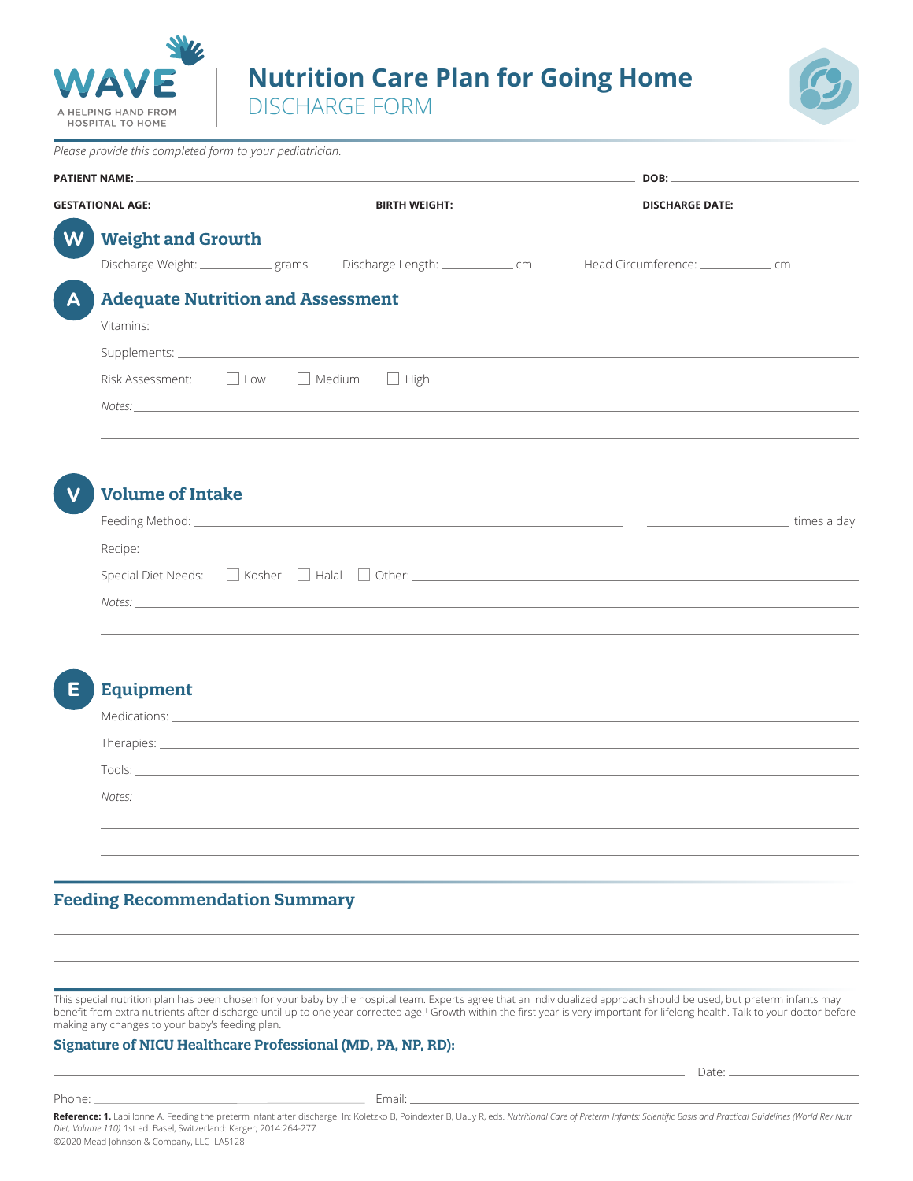

**Nutrition Care Plan for Going Home**

DISCHARGE FORM



| Please provide this completed form to your pediatrician. |  |                                                                                                                                                                                                                                |  |                                                                                                                                                                                                                               |  |  |
|----------------------------------------------------------|--|--------------------------------------------------------------------------------------------------------------------------------------------------------------------------------------------------------------------------------|--|-------------------------------------------------------------------------------------------------------------------------------------------------------------------------------------------------------------------------------|--|--|
| <b>PATIENT NAME:</b>                                     |  | <u>ров: политический различный совмещений различный различный различный ров: политический различный различный ра</u>                                                                                                           |  |                                                                                                                                                                                                                               |  |  |
|                                                          |  |                                                                                                                                                                                                                                |  |                                                                                                                                                                                                                               |  |  |
| <b>Weight and Growth</b><br>W                            |  |                                                                                                                                                                                                                                |  |                                                                                                                                                                                                                               |  |  |
|                                                          |  | Discharge Weight: ______________ grams Discharge Length: _______________ cm                                                                                                                                                    |  | Head Circumference: ________________________ cm                                                                                                                                                                               |  |  |
| <b>Adequate Nutrition and Assessment</b>                 |  |                                                                                                                                                                                                                                |  |                                                                                                                                                                                                                               |  |  |
|                                                          |  |                                                                                                                                                                                                                                |  |                                                                                                                                                                                                                               |  |  |
|                                                          |  |                                                                                                                                                                                                                                |  |                                                                                                                                                                                                                               |  |  |
| Risk Assessment: D Low D Medium D High                   |  |                                                                                                                                                                                                                                |  |                                                                                                                                                                                                                               |  |  |
|                                                          |  | Notes: http://www.com/communications/communications/communications/communications/communications/communications                                                                                                                |  |                                                                                                                                                                                                                               |  |  |
|                                                          |  |                                                                                                                                                                                                                                |  |                                                                                                                                                                                                                               |  |  |
|                                                          |  |                                                                                                                                                                                                                                |  |                                                                                                                                                                                                                               |  |  |
| <b>Volume of Intake</b>                                  |  |                                                                                                                                                                                                                                |  |                                                                                                                                                                                                                               |  |  |
|                                                          |  |                                                                                                                                                                                                                                |  |                                                                                                                                                                                                                               |  |  |
|                                                          |  |                                                                                                                                                                                                                                |  |                                                                                                                                                                                                                               |  |  |
|                                                          |  |                                                                                                                                                                                                                                |  | Special Diet Needs: Special Diet Needs: Special Diet Netsley Halal Diet Netsley Other: Special Diet Needs: Special Diet Needs: Special Diet Needs: Special Diet Needs: Special Diet Netsley Special Diet Netsley Special Diet |  |  |
|                                                          |  |                                                                                                                                                                                                                                |  |                                                                                                                                                                                                                               |  |  |
|                                                          |  |                                                                                                                                                                                                                                |  |                                                                                                                                                                                                                               |  |  |
|                                                          |  |                                                                                                                                                                                                                                |  |                                                                                                                                                                                                                               |  |  |
|                                                          |  |                                                                                                                                                                                                                                |  |                                                                                                                                                                                                                               |  |  |
| <b>Equipment</b>                                         |  |                                                                                                                                                                                                                                |  |                                                                                                                                                                                                                               |  |  |
|                                                          |  |                                                                                                                                                                                                                                |  |                                                                                                                                                                                                                               |  |  |
|                                                          |  |                                                                                                                                                                                                                                |  |                                                                                                                                                                                                                               |  |  |
|                                                          |  | Tools: The contract of the contract of the contract of the contract of the contract of the contract of the contract of the contract of the contract of the contract of the contract of the contract of the contract of the con |  |                                                                                                                                                                                                                               |  |  |
| Notes: _                                                 |  |                                                                                                                                                                                                                                |  |                                                                                                                                                                                                                               |  |  |
|                                                          |  |                                                                                                                                                                                                                                |  |                                                                                                                                                                                                                               |  |  |
|                                                          |  |                                                                                                                                                                                                                                |  |                                                                                                                                                                                                                               |  |  |
|                                                          |  |                                                                                                                                                                                                                                |  |                                                                                                                                                                                                                               |  |  |
|                                                          |  |                                                                                                                                                                                                                                |  |                                                                                                                                                                                                                               |  |  |
| <b>Feeding Recommendation Summary</b>                    |  |                                                                                                                                                                                                                                |  |                                                                                                                                                                                                                               |  |  |

This special nutrition plan has been chosen for your baby by the hospital team. Experts agree that an individualized approach should be used, but preterm infants may beneft from extra nutrients after discharge until up to one year corrected age.<sup>1</sup> Growth within the frst year is very important for lifelong health. Talk to your doctor before making any changes to your baby's feeding plan.

Date:

#### **Signature of NICU Healthcare Professional (MD, PA, NP, RD):**

Phone: Email:

**Reference: 1.** Lapillonne A. Feeding the preterm infant after discharge. In: Koletzko B, Poindexter B, Uauy R, eds. *Nutritional Care of Preterm Infants: Scientifc Basis and Practical Guidelines (World Rev Nutr Diet, Volume 110).*1st ed. Basel, Switzerland: Karger; 2014:264-277. ©2020 Mead Johnson & Company, LLC LA5128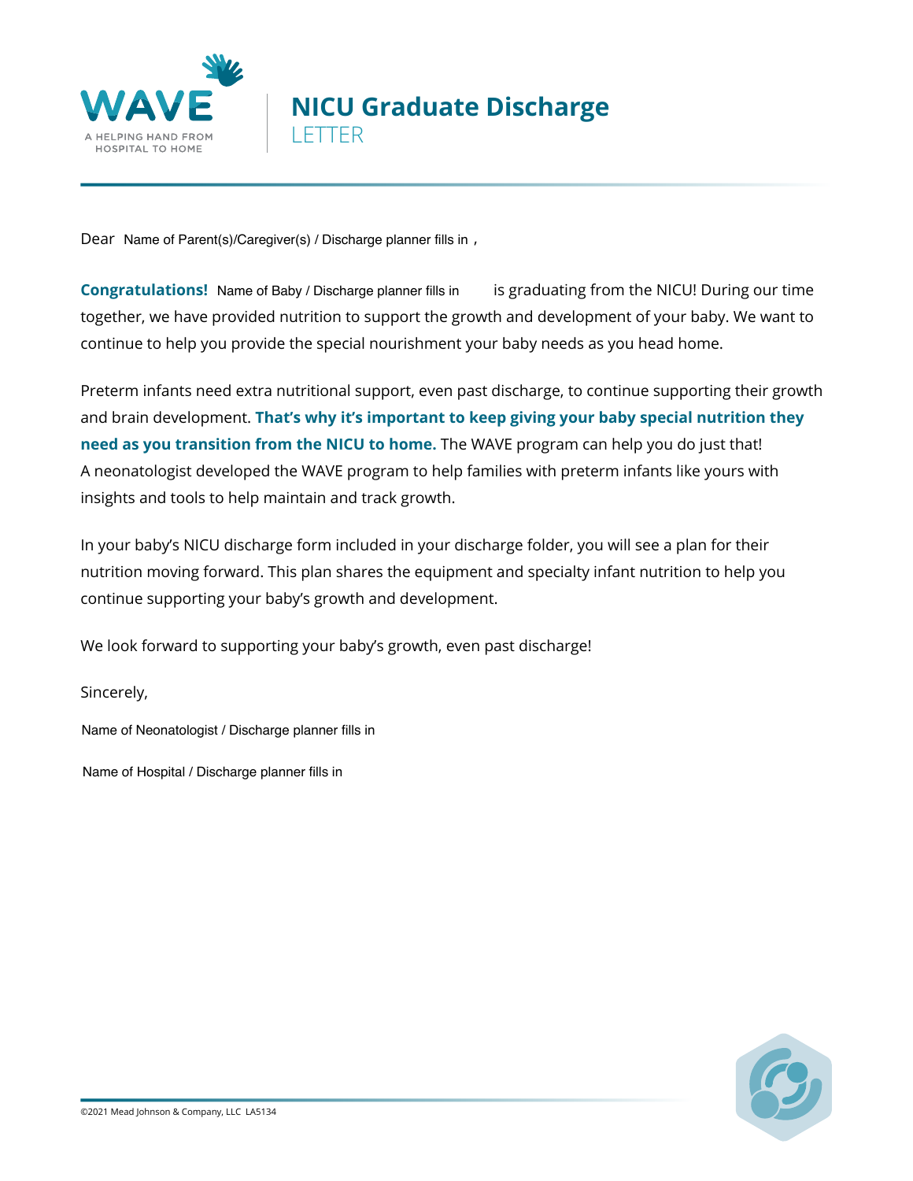

# **NICU Graduate Discharge**  LETTER

Dear Name of Parent(s)/Caregiver(s) / Discharge planner fills in,

**Congratulations!** Name of Baby / Discharge planner fills in is graduating from the NICU! During our time together, we have provided nutrition to support the growth and development of your baby. We want to continue to help you provide the special nourishment your baby needs as you head home.

Preterm infants need extra nutritional support, even past discharge, to continue supporting their growth and brain development. **That's why it's important to keep giving your baby special nutrition they need as you transition from the NICU to home.** The WAVE program can help you do just that! A neonatologist developed the WAVE program to help families with preterm infants like yours with insights and tools to help maintain and track growth.

In your baby's NICU discharge form included in your discharge folder, you will see a plan for their nutrition moving forward. This plan shares the equipment and specialty infant nutrition to help you continue supporting your baby's growth and development.

We look forward to supporting your baby's growth, even past discharge!

Sincerely,

Name of Neonatologist / Discharge planner fills in

Name of Hospital / Discharge planner fills in